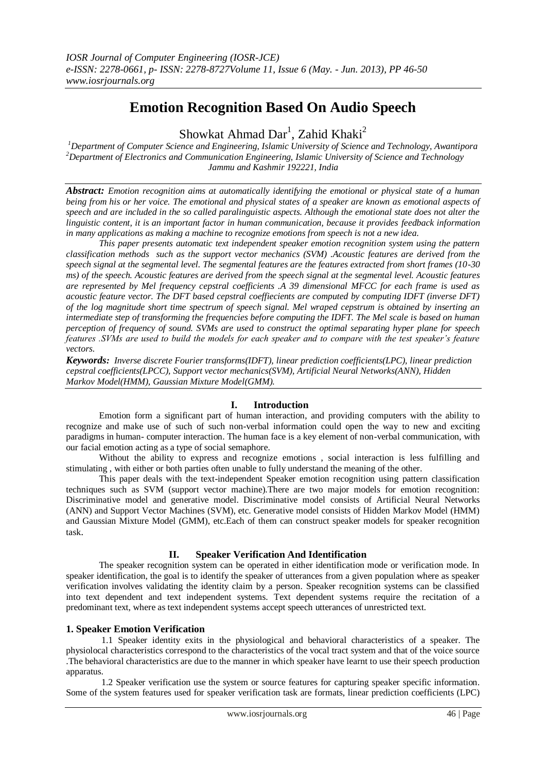# **Emotion Recognition Based On Audio Speech**

Showkat Ahmad Dar<sup>1</sup>, Zahid Khaki<sup>2</sup>

*<sup>1</sup>Department of Computer Science and Engineering, Islamic University of Science and Technology, Awantipora <sup>2</sup>Department of Electronics and Communication Engineering, Islamic University of Science and Technology Jammu and Kashmir 192221, India*

*Abstract: Emotion recognition aims at automatically identifying the emotional or physical state of a human being from his or her voice. The emotional and physical states of a speaker are known as emotional aspects of speech and are included in the so called paralinguistic aspects. Although the emotional state does not alter the linguistic content, it is an important factor in human communication, because it provides feedback information in many applications as making a machine to recognize emotions from speech is not a new idea.* 

*This paper presents automatic text independent speaker emotion recognition system using the pattern classification methods such as the support vector mechanics (SVM) .Acoustic features are derived from the speech signal at the segmental level. The segmental features are the features extracted from short frames (10-30 ms) of the speech. Acoustic features are derived from the speech signal at the segmental level. Acoustic features are represented by Mel frequency cepstral coefficients .A 39 dimensional MFCC for each frame is used as acoustic feature vector. The DFT based cepstral coeffiecients are computed by computing IDFT (inverse DFT) of the log magnitude short time spectrum of speech signal. Mel wraped cepstrum is obtained by inserting an intermediate step of transforming the frequencies before computing the IDFT. The Mel scale is based on human perception of frequency of sound. SVMs are used to construct the optimal separating hyper plane for speech features .SVMs are used to build the models for each speaker and to compare with the test speaker's feature vectors.*

*Keywords: Inverse discrete Fourier transforms(IDFT), linear prediction coefficients(LPC), linear prediction cepstral coefficients(LPCC), Support vector mechanics(SVM), Artificial Neural Networks(ANN), Hidden Markov Model(HMM), Gaussian Mixture Model(GMM).*

#### **I. Introduction**

Emotion form a significant part of human interaction, and providing computers with the ability to recognize and make use of such of such non-verbal information could open the way to new and exciting paradigms in human- computer interaction. The human face is a key element of non-verbal communication, with our facial emotion acting as a type of social semaphore.

Without the ability to express and recognize emotions , social interaction is less fulfilling and stimulating , with either or both parties often unable to fully understand the meaning of the other.

This paper deals with the text-independent Speaker emotion recognition using pattern classification techniques such as SVM (support vector machine).There are two major models for emotion recognition: Discriminative model and generative model. Discriminative model consists of Artificial Neural Networks (ANN) and Support Vector Machines (SVM), etc. Generative model consists of Hidden Markov Model (HMM) and Gaussian Mixture Model (GMM), etc.Each of them can construct speaker models for speaker recognition task.

#### **II. Speaker Verification And Identification**

The speaker recognition system can be operated in either identification mode or verification mode. In speaker identification, the goal is to identify the speaker of utterances from a given population where as speaker verification involves validating the identity claim by a person. Speaker recognition systems can be classified into text dependent and text independent systems. Text dependent systems require the recitation of a predominant text, where as text independent systems accept speech utterances of unrestricted text.

#### **1. Speaker Emotion Verification**

1.1 Speaker identity exits in the physiological and behavioral characteristics of a speaker. The physiolocal characteristics correspond to the characteristics of the vocal tract system and that of the voice source .The behavioral characteristics are due to the manner in which speaker have learnt to use their speech production apparatus.

1.2 Speaker verification use the system or source features for capturing speaker specific information. Some of the system features used for speaker verification task are formats, linear prediction coefficients (LPC)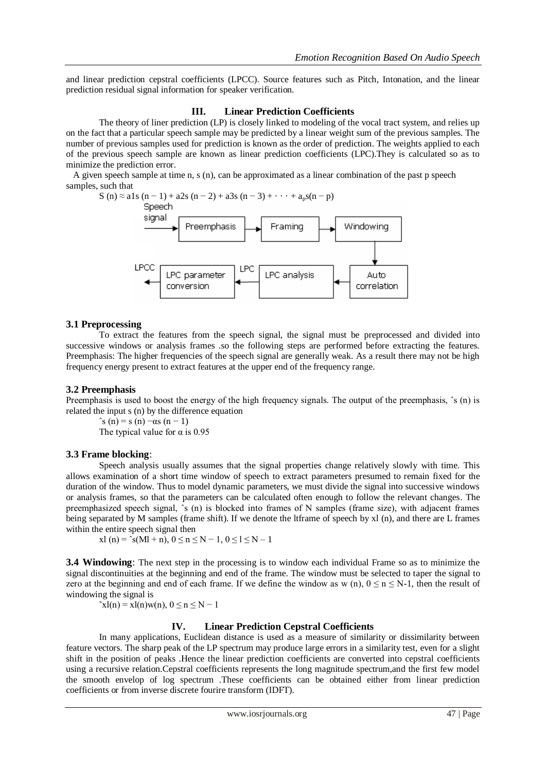and linear prediction cepstral coefficients (LPCC). Source features such as Pitch, Intonation, and the linear prediction residual signal information for speaker verification.

#### **III. Linear Prediction Coefficients**

The theory of liner prediction (LP) is closely linked to modeling of the vocal tract system, and relies up on the fact that a particular speech sample may be predicted by a linear weight sum of the previous samples. The number of previous samples used for prediction is known as the order of prediction. The weights applied to each of the previous speech sample are known as linear prediction coefficients (LPC).They is calculated so as to minimize the prediction error.

A given speech sample at time n, s (n), can be approximated as a linear combination of the past p speech samples, such that



#### **3.1 Preprocessing**

To extract the features from the speech signal, the signal must be preprocessed and divided into successive windows or analysis frames .so the following steps are performed before extracting the features. Preemphasis: The higher frequencies of the speech signal are generally weak. As a result there may not be high frequency energy present to extract features at the upper end of the frequency range.

#### **3.2 Preemphasis**

Preemphasis is used to boost the energy of the high frequency signals. The output of the preemphasis,  $\hat{s}$  (n) is related the input s (n) by the difference equation

 $\hat{s}(n) = s(n) - \alpha s(n-1)$ The typical value for  $\alpha$  is 0.95

#### **3.3 Frame blocking**:

Speech analysis usually assumes that the signal properties change relatively slowly with time. This allows examination of a short time window of speech to extract parameters presumed to remain fixed for the duration of the window. Thus to model dynamic parameters, we must divide the signal into successive windows or analysis frames, so that the parameters can be calculated often enough to follow the relevant changes. The preemphasized speech signal,  $\hat{s}$  (n) is blocked into frames of N samples (frame size), with adjacent frames being separated by M samples (frame shift). If we denote the ltframe of speech by xl (n), and there are L frames within the entire speech signal then

$$
xl(n) = \text{``}s(Ml + n), 0 \le n \le N - 1, 0 \le l \le N - 1
$$

**3.4 Windowing**: The next step in the processing is to window each individual Frame so as to minimize the signal discontinuities at the beginning and end of the frame. The window must be selected to taper the signal to zero at the beginning and end of each frame. If we define the window as w (n),  $0 \le n \le N-1$ , then the result of windowing the signal is

 $\tilde{x}$ l(n) = xl(n)w(n),  $0 \le n \le N - 1$ 

#### **IV. Linear Prediction Cepstral Coefficients**

In many applications. Euclidean distance is used as a measure of similarity or dissimilarity between feature vectors. The sharp peak of the LP spectrum may produce large errors in a similarity test, even for a slight shift in the position of peaks .Hence the linear prediction coefficients are converted into cepstral coefficients using a recursive relation.Cepstral coefficients represents the long magnitude spectrum,and the first few model the smooth envelop of log spectrum .These coefficients can be obtained either from linear prediction coefficients or from inverse discrete fourire transform (IDFT).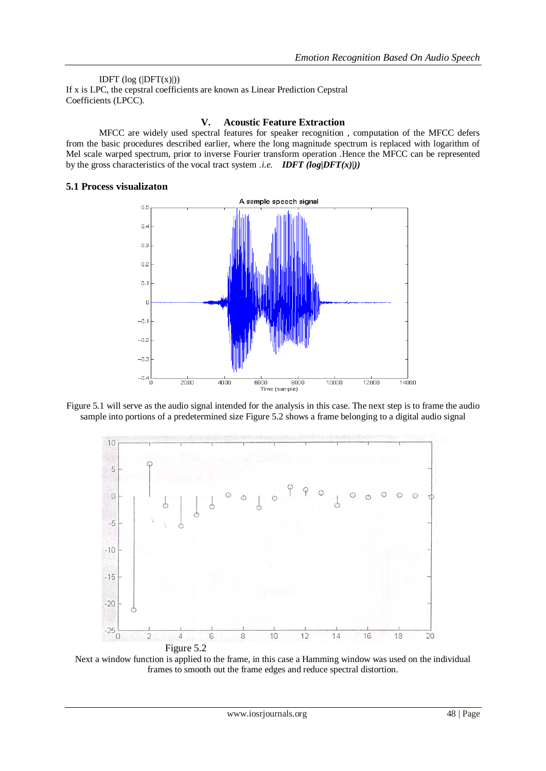IDFT  $(log (|DFT(x)|))$ If x is LPC, the cepstral coefficients are known as Linear Prediction Cepstral Coefficients (LPCC).

### **V. Acoustic Feature Extraction**

MFCC are widely used spectral features for speaker recognition , computation of the MFCC defers from the basic procedures described earlier, where the long magnitude spectrum is replaced with logarithm of Mel scale warped spectrum, prior to inverse Fourier transform operation .Hence the MFCC can be represented by the gross characteristics of the vocal tract system *i.e. IDFT* ( $log|DFT(x)|$ ))

## **5.1 Process visualizaton**



Figure 5.1 will serve as the audio signal intended for the analysis in this case. The next step is to frame the audio sample into portions of a predetermined size Figure 5.2 shows a frame belonging to a digital audio signal



Next a window function is applied to the frame, in this case a Hamming window was used on the individual frames to smooth out the frame edges and reduce spectral distortion.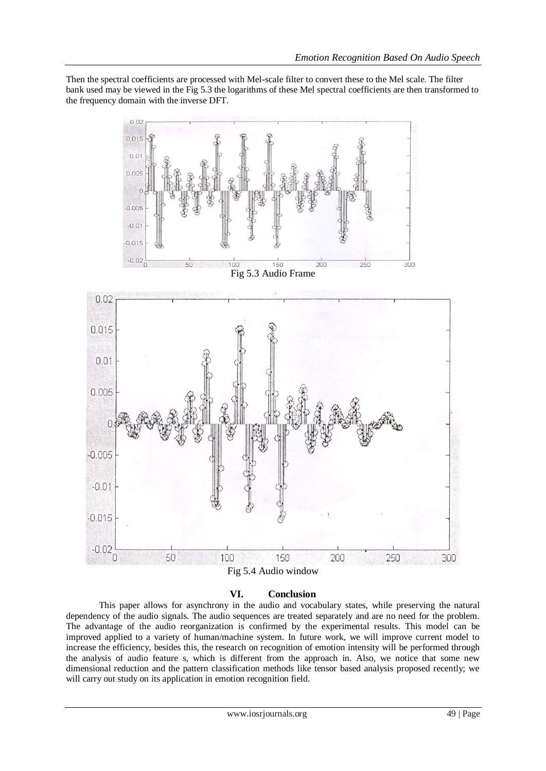Then the spectral coefficients are processed with Mel-scale filter to convert these to the Mel scale. The filter bank used may be viewed in the Fig 5.3 the logarithms of these Mel spectral coefficients are then transformed to the frequency domain with the inverse DFT.



Fig 5.4 Audio window

# **VI. Conclusion**

This paper allows for asynchrony in the audio and vocabulary states, while preserving the natural dependency of the audio signals. The audio sequences are treated separately and are no need for the problem. The advantage of the audio reorganization is confirmed by the experimental results. This model can be improved applied to a variety of human/machine system. In future work, we will improve current model to increase the efficiency, besides this, the research on recognition of emotion intensity will be performed through the analysis of audio feature s, which is different from the approach in. Also, we notice that some new dimensional reduction and the pattern classification methods like tensor based analysis proposed recently; we will carry out study on its application in emotion recognition field.